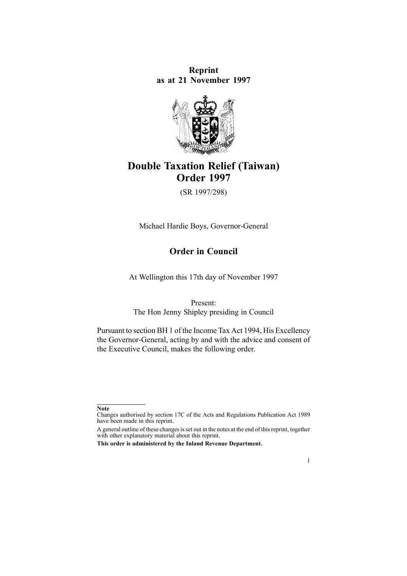**Reprint as at 21 November 1997**



# **Double Taxation Relief (Taiwan) Order 1997**

(SR 1997/298)

Michael Hardie Boys, Governor-General

## **Order in Council**

At Wellington this 17th day of November 1997

Present:

The Hon Jenny Shipley presiding in Council

Pursuant to section BH 1 of the Income Tax Act 1994, His Excellency the Governor-General, acting by and with the advice and consent of the Executive Council, makes the following order.

1

**Note**

Changes authorised by [section](http://www.legislation.govt.nz/pdflink.aspx?id=DLM195466) 17C of the Acts and Regulations Publication Act 1989 have been made in this reprint.

A general outline of these changes is set out in the notes at the end of this reprint, together with other explanatory material about this reprint.

**This order is administered by the Inland Revenue Department.**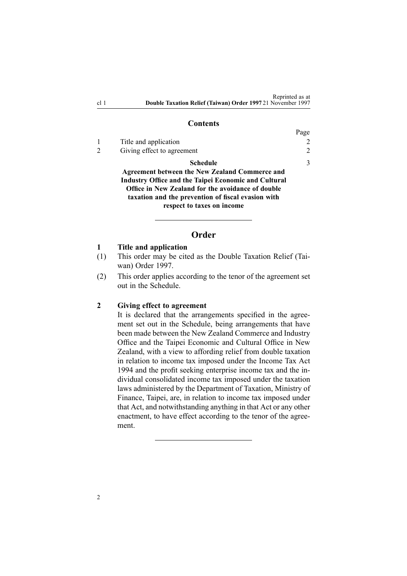#### **Contents**

|               |                                                             | Page           |
|---------------|-------------------------------------------------------------|----------------|
|               | Title and application                                       | $\overline{2}$ |
| $\mathcal{D}$ | Giving effect to agreement                                  | $\overline{2}$ |
|               | Schedule                                                    | $\mathcal{R}$  |
|               | <b>Agreement between the New Zealand Commerce and</b>       |                |
|               | <b>Industry Office and the Taipei Economic and Cultural</b> |                |
|               | Office in New Zealand for the avoidance of double           |                |
|               | taxation and the prevention of fiscal evasion with          |                |
|               | respect to taxes on income                                  |                |
|               |                                                             |                |

#### **Order**

#### **1 Title and application**

- (1) This order may be cited as the Double Taxation Relief (Taiwan) Order 1997.
- (2) This order applies according to the tenor of the agreemen<sup>t</sup> set out in the Schedule.

#### **2 Giving effect to agreement**

It is declared that the arrangements specified in the agreement set out in the Schedule, being arrangements that have been made between the New Zealand Commerce and Industry Office and the Taipei Economic and Cultural Office in New Zealand, with <sup>a</sup> view to affording relief from double taxation in relation to income tax imposed under the [Income](http://www.legislation.govt.nz/pdflink.aspx?id=DLM1184504) Tax Act [1994](http://www.legislation.govt.nz/pdflink.aspx?id=DLM1184504) and the profit seeking enterprise income tax and the individual consolidated income tax imposed under the taxation laws administered by the Department of Taxation, Ministry of Finance, Taipei, are, in relation to income tax imposed under that Act, and notwithstanding anything in that Act or any other enactment, to have effect according to the tenor of the agreement.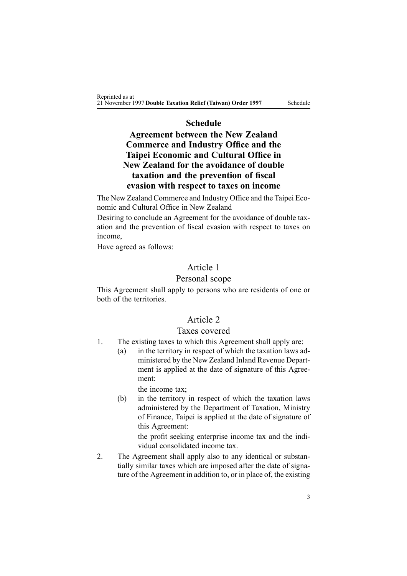## **Schedule**

## <span id="page-2-0"></span>**Agreement between the New Zealand Commerce and Industry Office and the Taipei Economic and Cultural Office in New Zealand for the avoidance of double taxation and the prevention of fiscal evasion with respect to taxes on income**

The New Zealand Commerce and Industry Office and the Taipei Economic and Cultural Office in New Zealand

Desiring to conclude an Agreement for the avoidance of double taxation and the prevention of fiscal evasion with respec<sup>t</sup> to taxes on income,

Have agreed as follows:

## Article 1

## Personal scope

This Agreement shall apply to persons who are residents of one or both of the territories.

## Article 2

### Taxes covered

- 1. The existing taxes to which this Agreement shall apply are:
	- (a) in the territory in respec<sup>t</sup> of which the taxation laws administered by the New Zealand Inland Revenue Department is applied at the date of signature of this Agreement:

the income tax;

(b) in the territory in respec<sup>t</sup> of which the taxation laws administered by the Department of Taxation, Ministry of Finance, Taipei is applied at the date of signature of this Agreement:

> the profit seeking enterprise income tax and the individual consolidated income tax.

2. The Agreement shall apply also to any identical or substantially similar taxes which are imposed after the date of signature of the Agreement in addition to, or in place of, the existing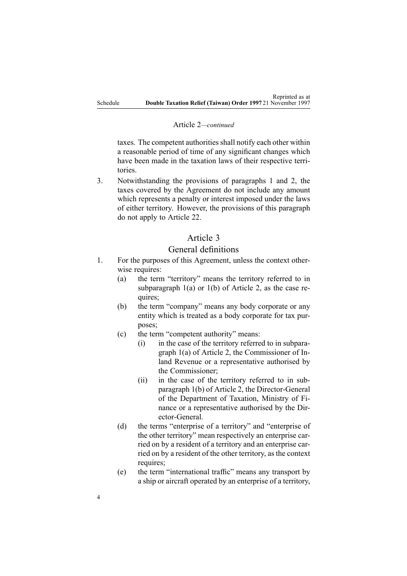#### Article 2*—continued*

taxes. The competent authorities shall notify each other within <sup>a</sup> reasonable period of time of any significant changes which have been made in the taxation laws of their respective territories.

3. Notwithstanding the provisions of paragraphs 1 and 2, the taxes covered by the Agreement do not include any amount which represents <sup>a</sup> penalty or interest imposed under the laws of either territory. However, the provisions of this paragraph do not apply to Article 22.

## Article 3

### General definitions

- 1. For the purposes of this Agreement, unless the context otherwise requires:
	- (a) the term "territory" means the territory referred to in subparagraph  $1(a)$  or  $1(b)$  of Article 2, as the case requires;
	- (b) the term "company" means any body corporate or any entity which is treated as <sup>a</sup> body corporate for tax purposes;
	- (c) the term "competent authority" means:
		- (i) in the case of the territory referred to in subparagraph 1(a) of Article 2, the Commissioner of Inland Revenue or <sup>a</sup> representative authorised by the Commissioner;
		- (ii) in the case of the territory referred to in subparagraph 1(b) of Article 2, the Director-General of the Department of Taxation, Ministry of Finance or <sup>a</sup> representative authorised by the Director-General.
	- (d) the terms "enterprise of <sup>a</sup> territory" and "enterprise of the other territory" mean respectively an enterprise carried on by <sup>a</sup> resident of <sup>a</sup> territory and an enterprise carried on by <sup>a</sup> resident of the other territory, as the context requires:
	- (e) the term "international traffic" means any transport by <sup>a</sup> ship or aircraft operated by an enterprise of <sup>a</sup> territory,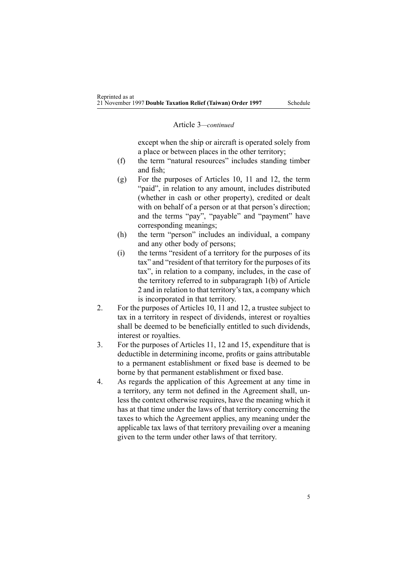#### Article 3*—continued*

excep<sup>t</sup> when the ship or aircraft is operated solely from <sup>a</sup> place or between places in the other territory;

- (f) the term "natural resources" includes standing timber and fish;
- (g) For the purposes of Articles 10, 11 and 12, the term "paid", in relation to any amount, includes distributed (whether in cash or other property), credited or dealt with on behalf of a person or at that person's direction: and the terms "pay", "payable" and "payment" have corresponding meanings;
- (h) the term "person" includes an individual, <sup>a</sup> company and any other body of persons;
- (i) the terms "resident of <sup>a</sup> territory for the purposes of its tax" and "resident of that territory for the purposes of its tax", in relation to <sup>a</sup> company, includes, in the case of the territory referred to in subparagraph 1(b) of Article 2 and in relation to that territory's tax, <sup>a</sup> company which is incorporated in that territory.
- 2. For the purposes of Articles 10, 11 and 12, <sup>a</sup> trustee subject to tax in <sup>a</sup> territory in respec<sup>t</sup> of dividends, interest or royalties shall be deemed to be beneficially entitled to such dividends, interest or royalties.
- 3. For the purposes of Articles 11, 12 and 15, expenditure that is deductible in determining income, profits or gains attributable to <sup>a</sup> permanen<sup>t</sup> establishment or fixed base is deemed to be borne by that permanen<sup>t</sup> establishment or fixed base.
- 4. As regards the application of this Agreement at any time in <sup>a</sup> territory, any term not defined in the Agreement shall, unless the context otherwise requires, have the meaning which it has at that time under the laws of that territory concerning the taxes to which the Agreement applies, any meaning under the applicable tax laws of that territory prevailing over <sup>a</sup> meaning given to the term under other laws of that territory.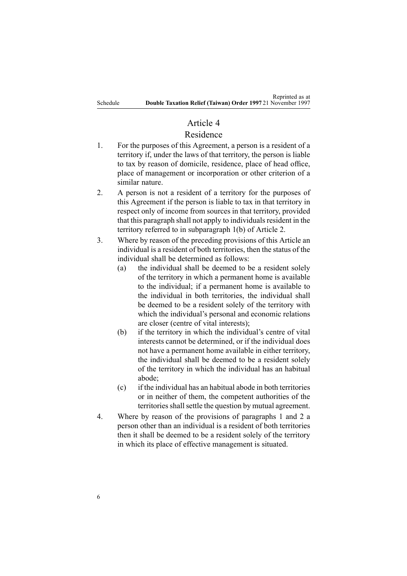#### Article 4

## Residence

- 1. For the purposes of this Agreement, <sup>a</sup> person is <sup>a</sup> resident of <sup>a</sup> territory if, under the laws of that territory, the person is liable to tax by reason of domicile, residence, place of head office, place of managemen<sup>t</sup> or incorporation or other criterion of <sup>a</sup> similar nature.
- 2. A person is not <sup>a</sup> resident of <sup>a</sup> territory for the purposes of this Agreement if the person is liable to tax in that territory in respec<sup>t</sup> only of income from sources in that territory, provided that this paragraph shall not apply to individuals resident in the territory referred to in subparagraph 1(b) of Article 2.
- 3. Where by reason of the preceding provisions of this Article an individual is <sup>a</sup> resident of both territories, then the status of the individual shall be determined as follows:
	- (a) the individual shall be deemed to be <sup>a</sup> resident solely of the territory in which <sup>a</sup> permanen<sup>t</sup> home is available to the individual; if <sup>a</sup> permanen<sup>t</sup> home is available to the individual in both territories, the individual shall be deemed to be <sup>a</sup> resident solely of the territory with which the individual's personal and economic relations are closer (centre of vital interests);
	- (b) if the territory in which the individual's centre of vital interests cannot be determined, or if the individual does not have <sup>a</sup> permanen<sup>t</sup> home available in either territory, the individual shall be deemed to be <sup>a</sup> resident solely of the territory in which the individual has an habitual abode;
	- (c) if the individual has an habitual abode in both territories or in neither of them, the competent authorities of the territories shall settle the question by mutual agreement.
- 4. Where by reason of the provisions of paragraphs 1 and 2 <sup>a</sup> person other than an individual is <sup>a</sup> resident of both territories then it shall be deemed to be <sup>a</sup> resident solely of the territory in which its place of effective managemen<sup>t</sup> is situated.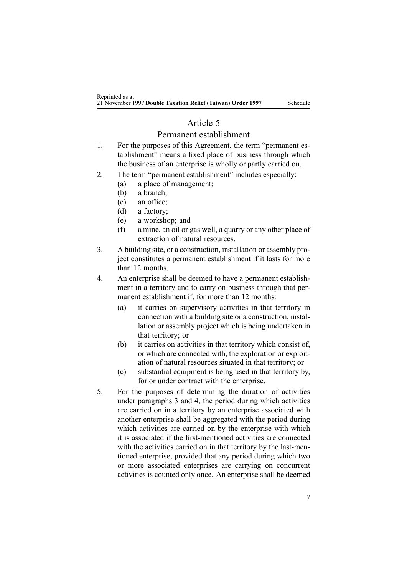### Article 5

#### Permanent establishment

- 1. For the purposes of this Agreement, the term "permanent establishment" means <sup>a</sup> fixed place of business through which the business of an enterprise is wholly or partly carried on.
- 2. The term "permanent establishment" includes especially:
	- (a) <sup>a</sup> place of management;
	- (b) <sup>a</sup> branch;
	- (c) an office;
	- (d) <sup>a</sup> factory;
	- (e) <sup>a</sup> workshop; and
	- (f) <sup>a</sup> mine, an oil or gas well, <sup>a</sup> quarry or any other place of extraction of natural resources.
- 3. A building site, or <sup>a</sup> construction, installation or assembly project constitutes <sup>a</sup> permanen<sup>t</sup> establishment if it lasts for more than 12 months.
- 4. An enterprise shall be deemed to have <sup>a</sup> permanen<sup>t</sup> establishment in <sup>a</sup> territory and to carry on business through that permanent establishment if, for more than 12 months:
	- (a) it carries on supervisory activities in that territory in connection with <sup>a</sup> building site or <sup>a</sup> construction, installation or assembly project which is being undertaken in that territory; or
	- (b) it carries on activities in that territory which consist of, or which are connected with, the exploration or exploitation of natural resources situated in that territory; or
	- (c) substantial equipment is being used in that territory by, for or under contract with the enterprise.
- 5. For the purposes of determining the duration of activities under paragraphs 3 and 4, the period during which activities are carried on in <sup>a</sup> territory by an enterprise associated with another enterprise shall be aggregated with the period during which activities are carried on by the enterprise with which it is associated if the first-mentioned activities are connected with the activities carried on in that territory by the last-mentioned enterprise, provided that any period during which two or more associated enterprises are carrying on concurrent activities is counted only once. An enterprise shall be deemed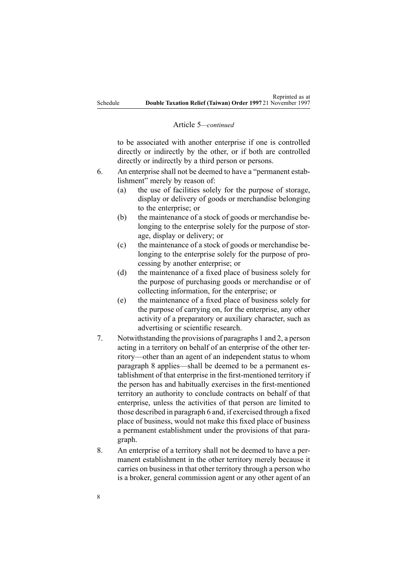#### Article 5*—continued*

to be associated with another enterprise if one is controlled directly or indirectly by the other, or if both are controlled directly or indirectly by <sup>a</sup> third person or persons.

- 6. An enterprise shall not be deemed to have <sup>a</sup> "permanent establishment" merely by reason of:
	- (a) the use of facilities solely for the purpose of storage, display or delivery of goods or merchandise belonging to the enterprise; or
	- (b) the maintenance of <sup>a</sup> stock of goods or merchandise belonging to the enterprise solely for the purpose of storage, display or delivery; or
	- (c) the maintenance of <sup>a</sup> stock of goods or merchandise belonging to the enterprise solely for the purpose of processing by another enterprise; or
	- (d) the maintenance of <sup>a</sup> fixed place of business solely for the purpose of purchasing goods or merchandise or of collecting information, for the enterprise; or
	- (e) the maintenance of <sup>a</sup> fixed place of business solely for the purpose of carrying on, for the enterprise, any other activity of <sup>a</sup> preparatory or auxiliary character, such as advertising or scientific research.
- 7. Notwithstanding the provisions of paragraphs 1 and 2, <sup>a</sup> person acting in <sup>a</sup> territory on behalf of an enterprise of the other territory—other than an agen<sup>t</sup> of an independent status to whom paragraph 8 applies—shall be deemed to be <sup>a</sup> permanen<sup>t</sup> establishment of that enterprise in the first-mentioned territory if the person has and habitually exercises in the first-mentioned territory an authority to conclude contracts on behalf of that enterprise, unless the activities of that person are limited to those described in paragraph 6 and, if exercised through <sup>a</sup> fixed place of business, would not make this fixed place of business <sup>a</sup> permanen<sup>t</sup> establishment under the provisions of that paragraph.
- 8. An enterprise of <sup>a</sup> territory shall not be deemed to have <sup>a</sup> permanent establishment in the other territory merely because it carries on business in that other territory through <sup>a</sup> person who is <sup>a</sup> broker, general commission agen<sup>t</sup> or any other agen<sup>t</sup> of an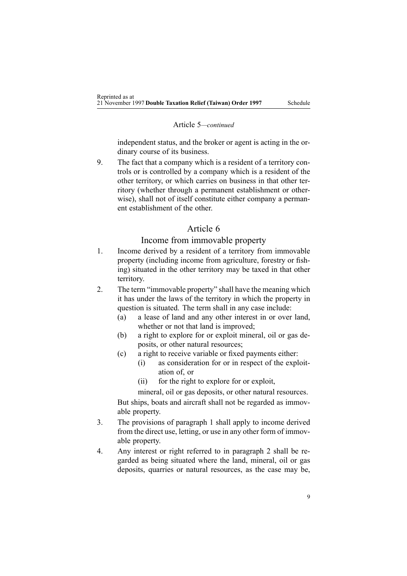#### Article 5*—continued*

independent status, and the broker or agen<sup>t</sup> is acting in the ordinary course of its business.

9. The fact that <sup>a</sup> company which is <sup>a</sup> resident of <sup>a</sup> territory controls or is controlled by <sup>a</sup> company which is <sup>a</sup> resident of the other territory, or which carries on business in that other territory (whether through <sup>a</sup> permanen<sup>t</sup> establishment or otherwise), shall not of itself constitute either company <sup>a</sup> permanent establishment of the other.

## Article 6

#### Income from immovable property

- 1. Income derived by <sup>a</sup> resident of <sup>a</sup> territory from immovable property (including income from agriculture, forestry or fishing) situated in the other territory may be taxed in that other territory.
- 2. The term "immovable property" shall have the meaning which it has under the laws of the territory in which the property in question is situated. The term shall in any case include:
	- (a) <sup>a</sup> lease of land and any other interest in or over land, whether or not that land is improved:
	- (b) <sup>a</sup> right to explore for or exploit mineral, oil or gas deposits, or other natural resources;
	- (c) <sup>a</sup> right to receive variable or fixed payments either:
		- (i) as consideration for or in respec<sup>t</sup> of the exploitation of, or
		- (ii) for the right to explore for or exploit,
		- mineral, oil or gas deposits, or other natural resources.

But ships, boats and aircraft shall not be regarded as immovable property.

- 3. The provisions of paragraph 1 shall apply to income derived from the direct use, letting, or use in any other form of immovable property.
- 4. Any interest or right referred to in paragraph 2 shall be regarded as being situated where the land, mineral, oil or gas deposits, quarries or natural resources, as the case may be,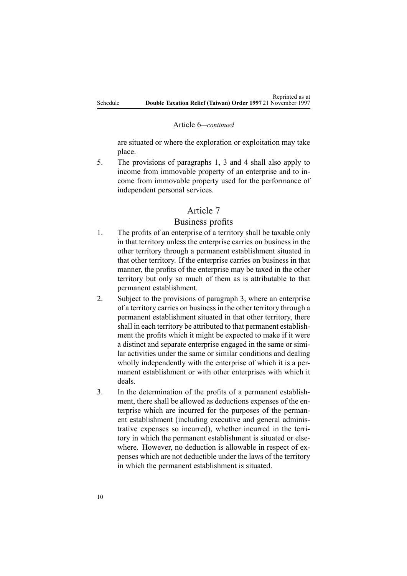#### Article 6*—continued*

are situated or where the exploration or exploitation may take place.

5. The provisions of paragraphs 1, 3 and 4 shall also apply to income from immovable property of an enterprise and to income from immovable property used for the performance of independent personal services.

### Article 7

#### Business profits

- 1. The profits of an enterprise of <sup>a</sup> territory shall be taxable only in that territory unless the enterprise carries on business in the other territory through <sup>a</sup> permanen<sup>t</sup> establishment situated in that other territory. If the enterprise carries on business in that manner, the profits of the enterprise may be taxed in the other territory but only so much of them as is attributable to that permanen<sup>t</sup> establishment.
- 2. Subject to the provisions of paragraph 3, where an enterprise of <sup>a</sup> territory carries on businessin the other territory through <sup>a</sup> permanen<sup>t</sup> establishment situated in that other territory, there shall in each territory be attributed to that permanen<sup>t</sup> establishment the profits which it might be expected to make if it were <sup>a</sup> distinct and separate enterprise engaged in the same or similar activities under the same or similar conditions and dealing wholly independently with the enterprise of which it is <sup>a</sup> permanent establishment or with other enterprises with which it deals.
- 3. In the determination of the profits of <sup>a</sup> permanen<sup>t</sup> establishment, there shall be allowed as deductions expenses of the enterprise which are incurred for the purposes of the permanent establishment (including executive and general administrative expenses so incurred), whether incurred in the territory in which the permanen<sup>t</sup> establishment is situated or elsewhere. However, no deduction is allowable in respec<sup>t</sup> of expenses which are not deductible under the laws of the territory in which the permanen<sup>t</sup> establishment is situated.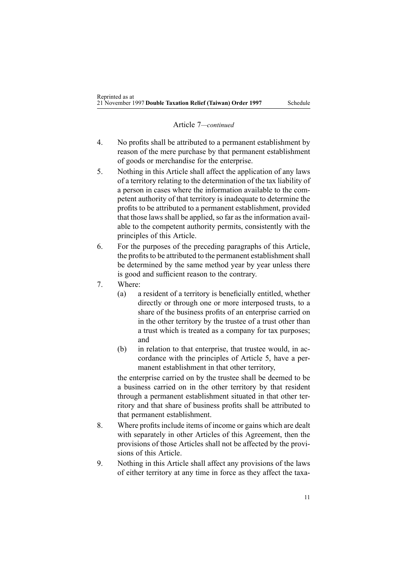#### Article 7*—continued*

- 4. No profits shall be attributed to <sup>a</sup> permanen<sup>t</sup> establishment by reason of the mere purchase by that permanen<sup>t</sup> establishment of goods or merchandise for the enterprise.
- 5. Nothing in this Article shall affect the application of any laws of <sup>a</sup> territory relating to the determination of the tax liability of <sup>a</sup> person in cases where the information available to the competent authority of that territory is inadequate to determine the profits to be attributed to <sup>a</sup> permanen<sup>t</sup> establishment, provided that those laws shall be applied, so far as the information available to the competent authority permits, consistently with the principles of this Article.
- 6. For the purposes of the preceding paragraphs of this Article, the profits to be attributed to the permanent establishment shall be determined by the same method year by year unless there is good and sufficient reason to the contrary.
- 7. Where:
	- (a) <sup>a</sup> resident of <sup>a</sup> territory is beneficially entitled, whether directly or through one or more interposed trusts, to <sup>a</sup> share of the business profits of an enterprise carried on in the other territory by the trustee of <sup>a</sup> trust other than <sup>a</sup> trust which is treated as <sup>a</sup> company for tax purposes; and
	- (b) in relation to that enterprise, that trustee would, in accordance with the principles of Article 5, have <sup>a</sup> permanent establishment in that other territory,

the enterprise carried on by the trustee shall be deemed to be <sup>a</sup> business carried on in the other territory by that resident through <sup>a</sup> permanen<sup>t</sup> establishment situated in that other territory and that share of business profits shall be attributed to that permanen<sup>t</sup> establishment.

- 8. Where profitsinclude items of income or gains which are dealt with separately in other Articles of this Agreement, then the provisions of those Articles shall not be affected by the provisions of this Article.
- 9. Nothing in this Article shall affect any provisions of the laws of either territory at any time in force as they affect the taxa-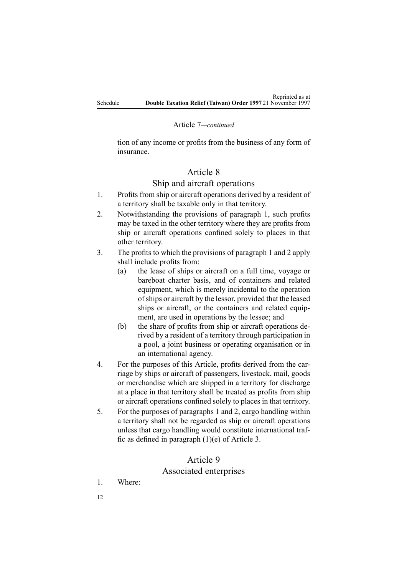### Article 7*—continued*

tion of any income or profits from the business of any form of insurance.

## Article 8

## Ship and aircraft operations

- 1. Profits from ship or aircraft operations derived by <sup>a</sup> resident of <sup>a</sup> territory shall be taxable only in that territory.
- 2. Notwithstanding the provisions of paragraph 1, such profits may be taxed in the other territory where they are profits from ship or aircraft operations confined solely to places in that other territory.
- 3. The profits to which the provisions of paragraph 1 and 2 apply shall include profits from:
	- (a) the lease of ships or aircraft on <sup>a</sup> full time, voyage or bareboat charter basis, and of containers and related equipment, which is merely incidental to the operation ofships or aircraft by the lessor, provided that the leased ships or aircraft, or the containers and related equipment, are used in operations by the lessee; and
	- (b) the share of profits from ship or aircraft operations derived by <sup>a</sup> resident of <sup>a</sup> territory through participation in <sup>a</sup> pool, <sup>a</sup> joint business or operating organisation or in an international agency.
- 4. For the purposes of this Article, profits derived from the carriage by ships or aircraft of passengers, livestock, mail, goods or merchandise which are shipped in <sup>a</sup> territory for discharge at <sup>a</sup> place in that territory shall be treated as profits from ship or aircraft operations confined solely to places in that territory.
- 5. For the purposes of paragraphs 1 and 2, cargo handling within <sup>a</sup> territory shall not be regarded as ship or aircraft operations unless that cargo handling would constitute international traffic as defined in paragraph (1)(e) of Article 3.

## Article 9

## Associated enterprises

- 1. Where:
- 12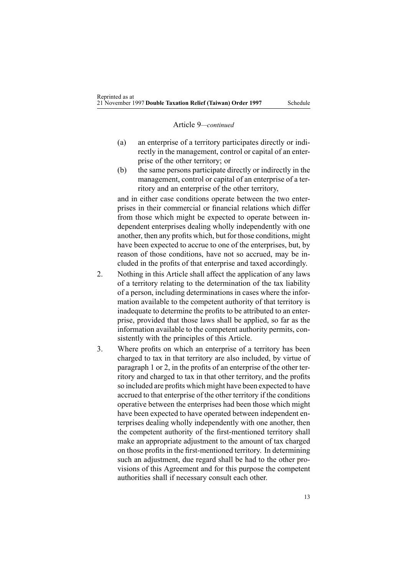#### Article 9*—continued*

- (a) an enterprise of <sup>a</sup> territory participates directly or indirectly in the management, control or capital of an enterprise of the other territory; or
- (b) the same persons participate directly or indirectly in the management, control or capital of an enterprise of <sup>a</sup> territory and an enterprise of the other territory,

and in either case conditions operate between the two enterprises in their commercial or financial relations which differ from those which might be expected to operate between independent enterprises dealing wholly independently with one another, then any profits which, but for those conditions, might have been expected to accrue to one of the enterprises, but, by reason of those conditions, have not so accrued, may be included in the profits of that enterprise and taxed accordingly.

- 2. Nothing in this Article shall affect the application of any laws of <sup>a</sup> territory relating to the determination of the tax liability of <sup>a</sup> person, including determinations in cases where the information available to the competent authority of that territory is inadequate to determine the profits to be attributed to an enterprise, provided that those laws shall be applied, so far as the information available to the competent authority permits, consistently with the principles of this Article.
- 3. Where profits on which an enterprise of <sup>a</sup> territory has been charged to tax in that territory are also included, by virtue of paragraph 1 or 2, in the profits of an enterprise of the other territory and charged to tax in that other territory, and the profits so included are profits which might have been expected to have accrued to that enterprise of the other territory if the conditions operative between the enterprises had been those which might have been expected to have operated between independent enterprises dealing wholly independently with one another, then the competent authority of the first-mentioned territory shall make an appropriate adjustment to the amount of tax charged on those profits in the first-mentioned territory. In determining such an adjustment, due regard shall be had to the other provisions of this Agreement and for this purpose the competent authorities shall if necessary consult each other.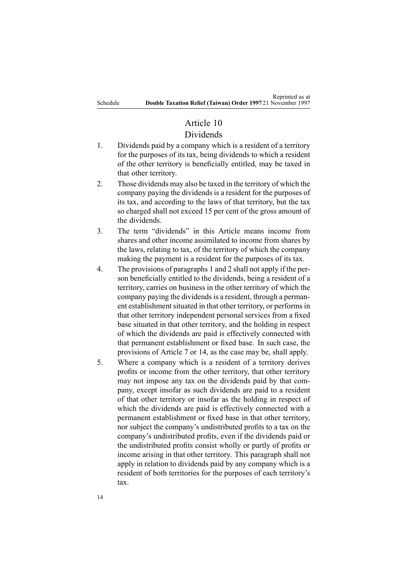## Article 10

## Dividends

- 1. Dividends paid by <sup>a</sup> company which is <sup>a</sup> resident of <sup>a</sup> territory for the purposes of its tax, being dividends to which <sup>a</sup> resident of the other territory is beneficially entitled, may be taxed in that other territory.
- 2. Those dividends may also be taxed in the territory of which the company paying the dividends is <sup>a</sup> resident for the purposes of its tax, and according to the laws of that territory, but the tax so charged shall not exceed 15 per cent of the gross amount of the dividends.
- 3. The term "dividends" in this Article means income from shares and other income assimilated to income from shares by the laws, relating to tax, of the territory of which the company making the paymen<sup>t</sup> is <sup>a</sup> resident for the purposes of its tax.
- 4. The provisions of paragraphs 1 and 2 shall not apply if the person beneficially entitled to the dividends, being <sup>a</sup> resident of <sup>a</sup> territory, carries on business in the other territory of which the company paying the dividendsis <sup>a</sup> resident, through <sup>a</sup> permanent establishment situated in that other territory, or performs in that other territory independent personal services from <sup>a</sup> fixed base situated in that other territory, and the holding in respec<sup>t</sup> of which the dividends are paid is effectively connected with that permanen<sup>t</sup> establishment or fixed base. In such case, the provisions of Article 7 or 14, as the case may be, shall apply.
- 5. Where <sup>a</sup> company which is <sup>a</sup> resident of <sup>a</sup> territory derives profits or income from the other territory, that other territory may not impose any tax on the dividends paid by that company, excep<sup>t</sup> insofar as such dividends are paid to <sup>a</sup> resident of that other territory or insofar as the holding in respec<sup>t</sup> of which the dividends are paid is effectively connected with <sup>a</sup> permanen<sup>t</sup> establishment or fixed base in that other territory, nor subject the company's undistributed profits to <sup>a</sup> tax on the company's undistributed profits, even if the dividends paid or the undistributed profits consist wholly or partly of profits or income arising in that other territory. This paragraph shall not apply in relation to dividends paid by any company which is <sup>a</sup> resident of both territories for the purposes of each territory's tax.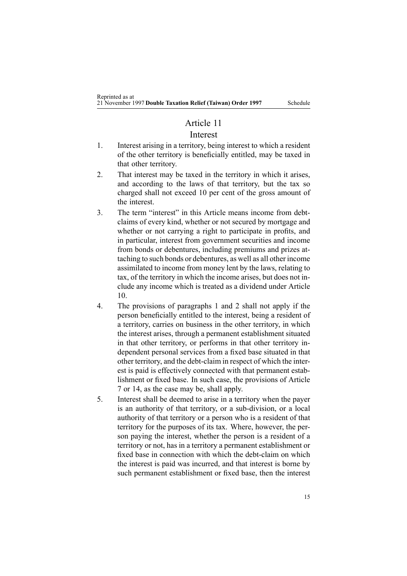### Article 11

#### Interest

- 1. Interest arising in <sup>a</sup> territory, being interest to which <sup>a</sup> resident of the other territory is beneficially entitled, may be taxed in that other territory.
- 2. That interest may be taxed in the territory in which it arises, and according to the laws of that territory, but the tax so charged shall not exceed 10 per cent of the gross amount of the interest.
- 3. The term "interest" in this Article means income from debtclaims of every kind, whether or not secured by mortgage and whether or not carrying <sup>a</sup> right to participate in profits, and in particular, interest from governmen<sup>t</sup> securities and income from bonds or debentures, including premiums and prizes attaching to such bonds or debentures, as well as all other income assimilated to income from money lent by the laws, relating to tax, of the territory in which the income arises, but does not include any income which is treated as <sup>a</sup> dividend under Article 10.
- 4. The provisions of paragraphs 1 and 2 shall not apply if the person beneficially entitled to the interest, being <sup>a</sup> resident of <sup>a</sup> territory, carries on business in the other territory, in which the interest arises, through <sup>a</sup> permanen<sup>t</sup> establishment situated in that other territory, or performs in that other territory independent personal services from <sup>a</sup> fixed base situated in that other territory, and the debt-claim in respec<sup>t</sup> of which the interest is paid is effectively connected with that permanen<sup>t</sup> establishment or fixed base. In such case, the provisions of Article 7 or 14, as the case may be, shall apply.
- 5. Interest shall be deemed to arise in <sup>a</sup> territory when the payer is an authority of that territory, or <sup>a</sup> sub-division, or <sup>a</sup> local authority of that territory or <sup>a</sup> person who is <sup>a</sup> resident of that territory for the purposes of its tax. Where, however, the person paying the interest, whether the person is <sup>a</sup> resident of <sup>a</sup> territory or not, has in <sup>a</sup> territory <sup>a</sup> permanen<sup>t</sup> establishment or fixed base in connection with which the debt-claim on which the interest is paid was incurred, and that interest is borne by such permanen<sup>t</sup> establishment or fixed base, then the interest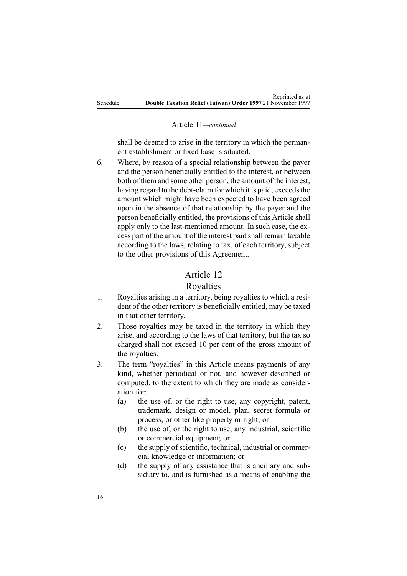#### Article 11*—continued*

shall be deemed to arise in the territory in which the permanent establishment or fixed base is situated.

6. Where, by reason of <sup>a</sup> special relationship between the payer and the person beneficially entitled to the interest, or between both of them and some other person, the amount of the interest, having regard to the debt-claim for which it is paid, exceeds the amount which might have been expected to have been agreed upon in the absence of that relationship by the payer and the person beneficially entitled, the provisions of this Article shall apply only to the last-mentioned amount. In such case, the excess par<sup>t</sup> of the amount of the interest paid shall remain taxable according to the laws, relating to tax, of each territory, subject to the other provisions of this Agreement.

## Article 12

#### Royalties

- 1. Royalties arising in <sup>a</sup> territory, being royalties to which <sup>a</sup> resident of the other territory is beneficially entitled, may be taxed in that other territory.
- 2. Those royalties may be taxed in the territory in which they arise, and according to the laws of that territory, but the tax so charged shall not exceed 10 per cent of the gross amount of the royalties.
- 3. The term "royalties" in this Article means payments of any kind, whether periodical or not, and however described or computed, to the extent to which they are made as consideration for:
	- (a) the use of, or the right to use, any copyright, patent, trademark, design or model, plan, secret formula or process, or other like property or right; or
	- (b) the use of, or the right to use, any industrial, scientific or commercial equipment; or
	- $(c)$  the supply of scientific, technical, industrial or commercial knowledge or information; or
	- (d) the supply of any assistance that is ancillary and subsidiary to, and is furnished as <sup>a</sup> means of enabling the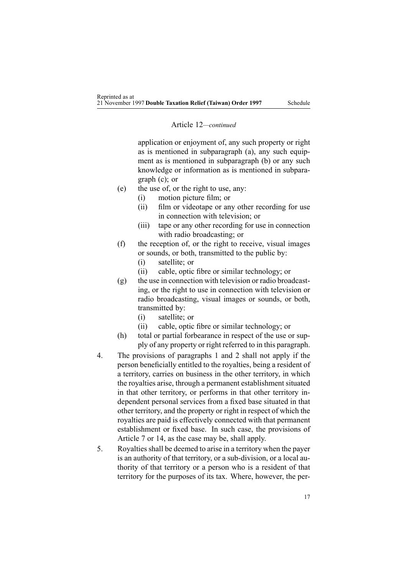#### Article 12*—continued*

application or enjoyment of, any such property or right as is mentioned in subparagraph (a), any such equipment as is mentioned in subparagraph (b) or any such knowledge or information as is mentioned in subparagraph (c); or

- (e) the use of, or the right to use, any:
	- (i) motion picture film; or
	- (ii) film or videotape or any other recording for use in connection with television; or
	- (iii) tape or any other recording for use in connection with radio broadcasting; or
- (f) the reception of, or the right to receive, visual images or sounds, or both, transmitted to the public by:
	- (i) satellite; or
	- (ii) cable, optic fibre or similar technology; or
- (g) the use in connection with television or radio broadcasting, or the right to use in connection with television or radio broadcasting, visual images or sounds, or both, transmitted by:
	- (i) satellite; or
	- (ii) cable, optic fibre or similar technology; or
- (h) total or partial forbearance in respec<sup>t</sup> of the use or supply of any property or right referred to in this paragraph.
- 4. The provisions of paragraphs 1 and 2 shall not apply if the person beneficially entitled to the royalties, being <sup>a</sup> resident of <sup>a</sup> territory, carries on business in the other territory, in which the royalties arise, through <sup>a</sup> permanen<sup>t</sup> establishment situated in that other territory, or performs in that other territory independent personal services from <sup>a</sup> fixed base situated in that other territory, and the property or right in respec<sup>t</sup> of which the royalties are paid is effectively connected with that permanen<sup>t</sup> establishment or fixed base. In such case, the provisions of Article 7 or 14, as the case may be, shall apply.
- 5. Royaltiesshall be deemed to arise in <sup>a</sup> territory when the payer is an authority of that territory, or <sup>a</sup> sub-division, or <sup>a</sup> local authority of that territory or <sup>a</sup> person who is <sup>a</sup> resident of that territory for the purposes of its tax. Where, however, the per-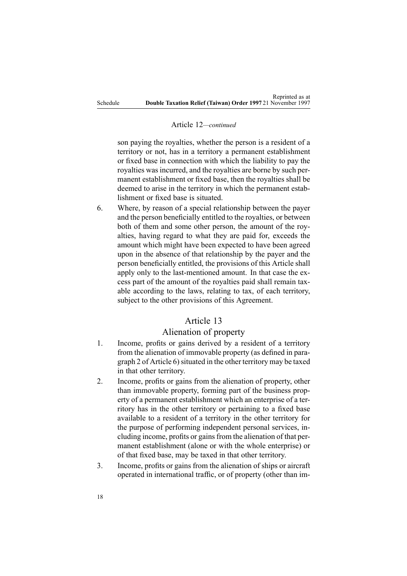#### Article 12*—continued*

son paying the royalties, whether the person is <sup>a</sup> resident of <sup>a</sup> territory or not, has in <sup>a</sup> territory <sup>a</sup> permanen<sup>t</sup> establishment or fixed base in connection with which the liability to pay the royalties was incurred, and the royalties are borne by such permanent establishment or fixed base, then the royalties shall be deemed to arise in the territory in which the permanen<sup>t</sup> establishment or fixed base is situated.

6. Where, by reason of <sup>a</sup> special relationship between the payer and the person beneficially entitled to the royalties, or between both of them and some other person, the amount of the royalties, having regard to what they are paid for, exceeds the amount which might have been expected to have been agreed upon in the absence of that relationship by the payer and the person beneficially entitled, the provisions of this Article shall apply only to the last-mentioned amount. In that case the excess par<sup>t</sup> of the amount of the royalties paid shall remain taxable according to the laws, relating to tax, of each territory, subject to the other provisions of this Agreement.

#### Article 13

#### Alienation of property

- 1. Income, profits or gains derived by <sup>a</sup> resident of <sup>a</sup> territory from the alienation of immovable property (as defined in paragraph 2 of Article 6) situated in the other territory may be taxed in that other territory.
- 2. Income, profits or gains from the alienation of property, other than immovable property, forming par<sup>t</sup> of the business property of <sup>a</sup> permanen<sup>t</sup> establishment which an enterprise of <sup>a</sup> territory has in the other territory or pertaining to <sup>a</sup> fixed base available to <sup>a</sup> resident of <sup>a</sup> territory in the other territory for the purpose of performing independent personal services, including income, profits or gains from the alienation of that permanent establishment (alone or with the whole enterprise) or of that fixed base, may be taxed in that other territory.
- 3. Income, profits or gains from the alienation of ships or aircraft operated in international traffic, or of property (other than im-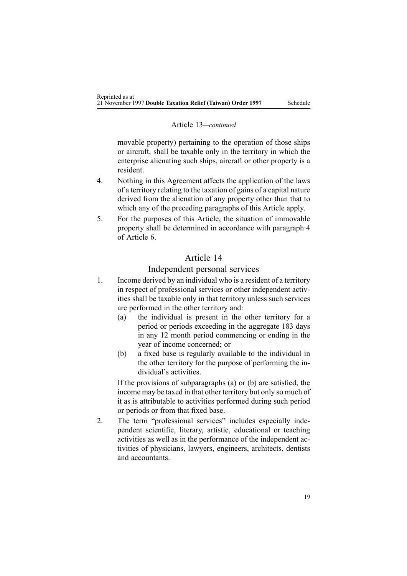#### Article 13*—continued*

movable property) pertaining to the operation of those ships or aircraft, shall be taxable only in the territory in which the enterprise alienating such ships, aircraft or other property is <sup>a</sup> resident.

- 4. Nothing in this Agreement affects the application of the laws of <sup>a</sup> territory relating to the taxation of gains of <sup>a</sup> capital nature derived from the alienation of any property other than that to which any of the preceding paragraphs of this Article apply.
- 5. For the purposes of this Article, the situation of immovable property shall be determined in accordance with paragraph 4 of Article 6.

### Article 14

#### Independent personal services

- 1. Income derived by an individual who is <sup>a</sup> resident of <sup>a</sup> territory in respec<sup>t</sup> of professional services or other independent activities shall be taxable only in that territory unless such services are performed in the other territory and:
	- (a) the individual is presen<sup>t</sup> in the other territory for <sup>a</sup> period or periods exceeding in the aggregate 183 days in any 12 month period commencing or ending in the year of income concerned; or
	- (b) <sup>a</sup> fixed base is regularly available to the individual in the other territory for the purpose of performing the individual's activities.

If the provisions of subparagraphs (a) or (b) are satisfied, the income may be taxed in that other territory but only so much of it as is attributable to activities performed during such period or periods or from that fixed base.

2. The term "professional services" includes especially independent scientific, literary, artistic, educational or teaching activities as well as in the performance of the independent activities of physicians, lawyers, engineers, architects, dentists and accountants.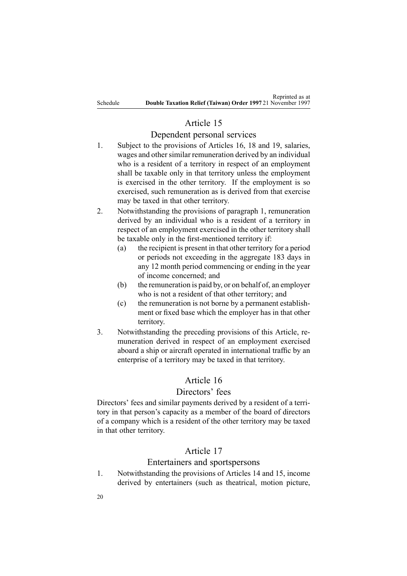## Article 15

### Dependent personal services

- 1. Subject to the provisions of Articles 16, 18 and 19, salaries, wages and other similar remuneration derived by an individual who is <sup>a</sup> resident of <sup>a</sup> territory in respec<sup>t</sup> of an employment shall be taxable only in that territory unless the employment is exercised in the other territory. If the employment is so exercised, such remuneration as is derived from that exercise may be taxed in that other territory.
- 2. Notwithstanding the provisions of paragraph 1, remuneration derived by an individual who is <sup>a</sup> resident of <sup>a</sup> territory in respec<sup>t</sup> of an employment exercised in the other territory shall be taxable only in the first-mentioned territory if:
	- (a) the recipient is presen<sup>t</sup> in that other territory for <sup>a</sup> period or periods not exceeding in the aggregate 183 days in any 12 month period commencing or ending in the year of income concerned; and
	- (b) the remuneration is paid by, or on behalf of, an employer who is not <sup>a</sup> resident of that other territory; and
	- (c) the remuneration is not borne by <sup>a</sup> permanen<sup>t</sup> establishment or fixed base which the employer has in that other territory.
- 3. Notwithstanding the preceding provisions of this Article, remuneration derived in respec<sup>t</sup> of an employment exercised aboard <sup>a</sup> ship or aircraft operated in international traffic by an enterprise of <sup>a</sup> territory may be taxed in that territory.

## Article 16

### Directors' fees

Directors' fees and similar payments derived by <sup>a</sup> resident of <sup>a</sup> territory in that person's capacity as <sup>a</sup> member of the board of directors of <sup>a</sup> company which is <sup>a</sup> resident of the other territory may be taxed in that other territory.

## Article 17

### Entertainers and sportspersons

1. Notwithstanding the provisions of Articles 14 and 15, income derived by entertainers (such as theatrical, motion picture,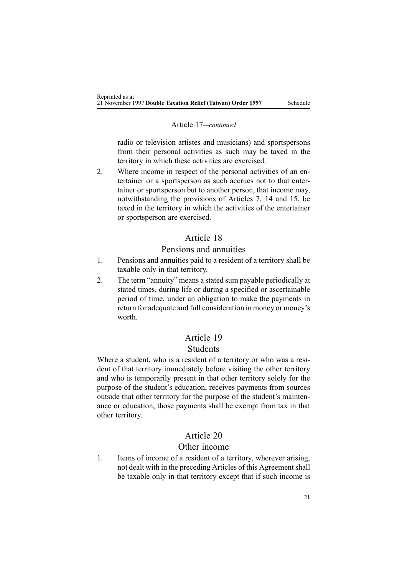#### Article 17*—continued*

radio or television artistes and musicians) and sportspersons from their personal activities as such may be taxed in the territory in which these activities are exercised.

2. Where income in respec<sup>t</sup> of the personal activities of an entertainer or <sup>a</sup> sportsperson as such accrues not to that entertainer or sportsperson but to another person, that income may, notwithstanding the provisions of Articles 7, 14 and 15, be taxed in the territory in which the activities of the entertainer or sportsperson are exercised.

### Article 18

### Pensions and annuities

- 1. Pensions and annuities paid to <sup>a</sup> resident of <sup>a</sup> territory shall be taxable only in that territory.
- 2. The term "annuity" means <sup>a</sup> stated sum payable periodically at stated times, during life or during <sup>a</sup> specified or ascertainable period of time, under an obligation to make the payments in return for adequate and full consideration in money or money's worth.

## Article 19

#### Students

Where <sup>a</sup> student, who is <sup>a</sup> resident of <sup>a</sup> territory or who was <sup>a</sup> resident of that territory immediately before visiting the other territory and who is temporarily presen<sup>t</sup> in that other territory solely for the purpose of the student's education, receives payments from sources outside that other territory for the purpose of the student's maintenance or education, those payments shall be exemp<sup>t</sup> from tax in that other territory.

### Article 20

#### Other income

1. Items of income of <sup>a</sup> resident of <sup>a</sup> territory, wherever arising, not dealt with in the preceding Articles of this Agreement shall be taxable only in that territory excep<sup>t</sup> that if such income is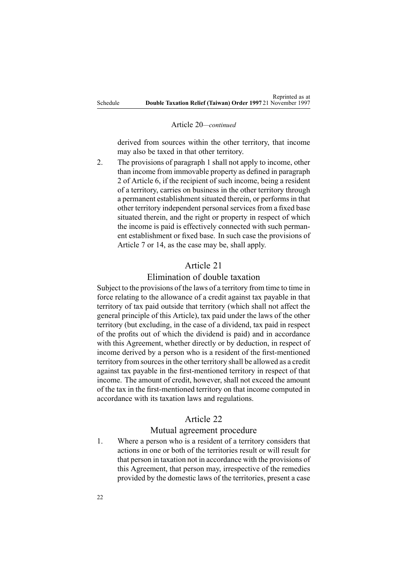#### Article 20*—continued*

derived from sources within the other territory, that income may also be taxed in that other territory.

2. The provisions of paragraph 1 shall not apply to income, other than income from immovable property as defined in paragraph 2 of Article 6, if the recipient of such income, being <sup>a</sup> resident of <sup>a</sup> territory, carries on business in the other territory through <sup>a</sup> permanen<sup>t</sup> establishment situated therein, or performs in that other territory independent personal services from <sup>a</sup> fixed base situated therein, and the right or property in respec<sup>t</sup> of which the income is paid is effectively connected with such permanent establishment or fixed base. In such case the provisions of Article 7 or 14, as the case may be, shall apply.

## Article 21

### Elimination of double taxation

Subject to the provisions of the laws of <sup>a</sup> territory from time to time in force relating to the allowance of <sup>a</sup> credit against tax payable in that territory of tax paid outside that territory (which shall not affect the general principle of this Article), tax paid under the laws of the other territory (but excluding, in the case of <sup>a</sup> dividend, tax paid in respec<sup>t</sup> of the profits out of which the dividend is paid) and in accordance with this Agreement, whether directly or by deduction, in respec<sup>t</sup> of income derived by <sup>a</sup> person who is <sup>a</sup> resident of the first-mentioned territory from sources in the other territory shall be allowed as a credit against tax payable in the first-mentioned territory in respec<sup>t</sup> of that income. The amount of credit, however, shall not exceed the amount of the tax in the first-mentioned territory on that income computed in accordance with its taxation laws and regulations.

#### Article 22

#### Mutual agreemen<sup>t</sup> procedure

1. Where <sup>a</sup> person who is <sup>a</sup> resident of <sup>a</sup> territory considers that actions in one or both of the territories result or will result for that person in taxation not in accordance with the provisions of this Agreement, that person may, irrespective of the remedies provided by the domestic laws of the territories, presen<sup>t</sup> <sup>a</sup> case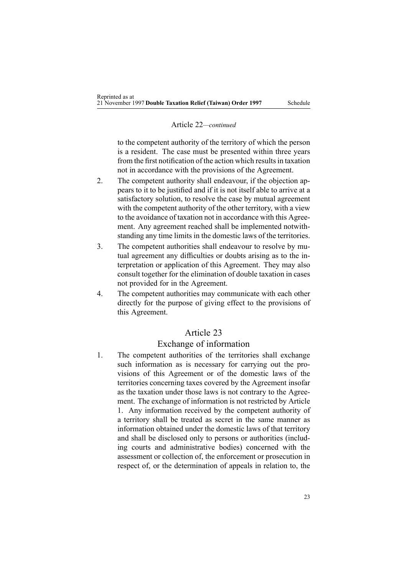#### Article 22*—continued*

to the competent authority of the territory of which the person is <sup>a</sup> resident. The case must be presented within three years from the first notification of the action which results in taxation not in accordance with the provisions of the Agreement.

- 2. The competent authority shall endeavour, if the objection appears to it to be justified and if it is not itself able to arrive at <sup>a</sup> satisfactory solution, to resolve the case by mutual agreemen<sup>t</sup> with the competent authority of the other territory, with <sup>a</sup> view to the avoidance of taxation not in accordance with this Agreement. Any agreemen<sup>t</sup> reached shall be implemented notwithstanding any time limits in the domestic laws of the territories.
- 3. The competent authorities shall endeavour to resolve by mutual agreemen<sup>t</sup> any difficulties or doubts arising as to the interpretation or application of this Agreement. They may also consult together for the elimination of double taxation in cases not provided for in the Agreement.
- 4. The competent authorities may communicate with each other directly for the purpose of giving effect to the provisions of this Agreement.

### Article 23

#### Exchange of information

1. The competent authorities of the territories shall exchange such information as is necessary for carrying out the provisions of this Agreement or of the domestic laws of the territories concerning taxes covered by the Agreement insofar as the taxation under those laws is not contrary to the Agreement. The exchange of information is not restricted by Article 1. Any information received by the competent authority of <sup>a</sup> territory shall be treated as secret in the same manner as information obtained under the domestic laws of that territory and shall be disclosed only to persons or authorities (including courts and administrative bodies) concerned with the assessment or collection of, the enforcement or prosecution in respec<sup>t</sup> of, or the determination of appeals in relation to, the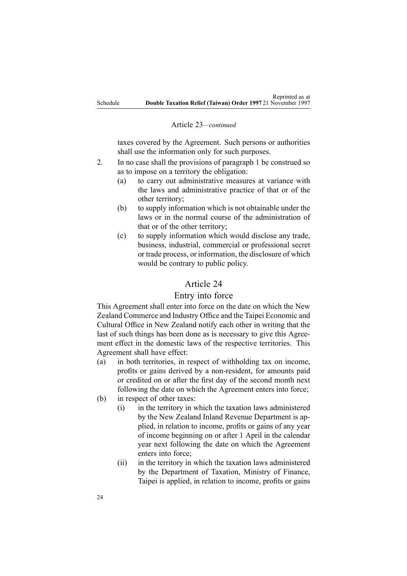#### Article 23*—continued*

taxes covered by the Agreement. Such persons or authorities shall use the information only for such purposes.

- 2. In no case shall the provisions of paragraph 1 be construed so as to impose on <sup>a</sup> territory the obligation:
	- (a) to carry out administrative measures at variance with the laws and administrative practice of that or of the other territory;
	- (b) to supply information which is not obtainable under the laws or in the normal course of the administration of that or of the other territory;
	- (c) to supply information which would disclose any trade, business, industrial, commercial or professional secret or trade process, or information, the disclosure of which would be contrary to public policy.

### Article 24

### Entry into force

This Agreement shall enter into force on the date on which the New Zealand Commerce and Industry Office and the Taipei Economic and Cultural Office in New Zealand notify each other in writing that the last of such things has been done as is necessary to give this Agreement effect in the domestic laws of the respective territories. This Agreement shall have effect:

- (a) in both territories, in respec<sup>t</sup> of withholding tax on income, profits or gains derived by <sup>a</sup> non-resident, for amounts paid or credited on or after the first day of the second month next following the date on which the Agreement enters into force;
- (b) in respec<sup>t</sup> of other taxes:
	- (i) in the territory in which the taxation laws administered by the New Zealand Inland Revenue Department is applied, in relation to income, profits or gains of any year of income beginning on or after 1 April in the calendar year next following the date on which the Agreement enters into force;
	- (ii) in the territory in which the taxation laws administered by the Department of Taxation, Ministry of Finance, Taipei is applied, in relation to income, profits or gains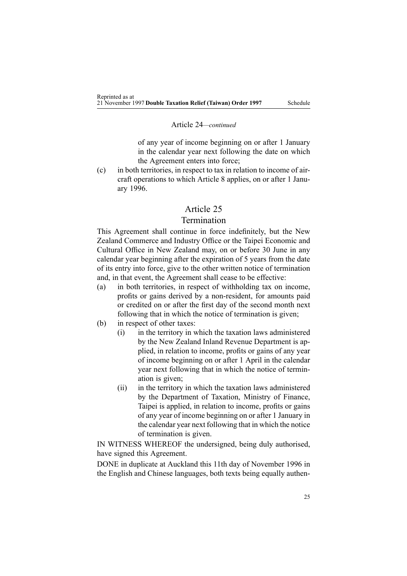#### Article 24*—continued*

of any year of income beginning on or after 1 January in the calendar year next following the date on which the Agreement enters into force;

(c) in both territories, in respec<sup>t</sup> to tax in relation to income of aircraft operations to which Article 8 applies, on or after 1 January 1996.

#### Article 25

## Termination

This Agreement shall continue in force indefinitely, but the New Zealand Commerce and Industry Office or the Taipei Economic and Cultural Office in New Zealand may, on or before 30 June in any calendar year beginning after the expiration of 5 years from the date of its entry into force, give to the other written notice of termination and, in that event, the Agreement shall cease to be effective:

- (a) in both territories, in respec<sup>t</sup> of withholding tax on income, profits or gains derived by <sup>a</sup> non-resident, for amounts paid or credited on or after the first day of the second month next following that in which the notice of termination is given;
- (b) in respec<sup>t</sup> of other taxes:
	- (i) in the territory in which the taxation laws administered by the New Zealand Inland Revenue Department is applied, in relation to income, profits or gains of any year of income beginning on or after 1 April in the calendar year next following that in which the notice of termination is given;
	- (ii) in the territory in which the taxation laws administered by the Department of Taxation, Ministry of Finance, Taipei is applied, in relation to income, profits or gains of any year of income beginning on or after 1 January in the calendar year next following that in which the notice of termination is given.

IN WITNESS WHEREOF the undersigned, being duly authorised, have signed this Agreement.

DONE in duplicate at Auckland this 11th day of November 1996 in the English and Chinese languages, both texts being equally authen-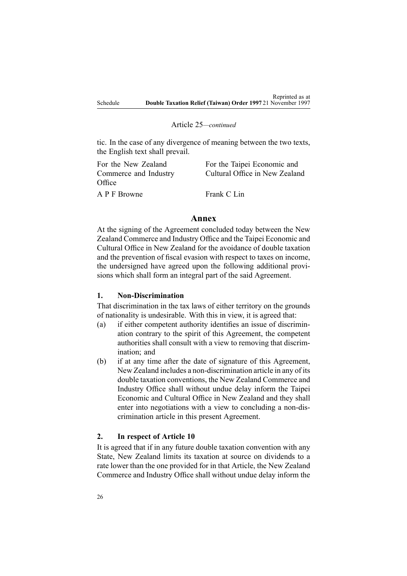#### Article 25*—continued*

tic. In the case of any divergence of meaning between the two texts, the English text shall prevail.

| For the New Zealand<br>Commerce and Industry<br>Office | For the Taipei Economic and<br>Cultural Office in New Zealand |
|--------------------------------------------------------|---------------------------------------------------------------|
| A P F Browne                                           | Frank C Lin                                                   |

### **Annex**

At the signing of the Agreement concluded today between the New Zealand Commerce and Industry Office and the Taipei Economic and Cultural Office in New Zealand for the avoidance of double taxation and the prevention of fiscal evasion with respec<sup>t</sup> to taxes on income, the undersigned have agreed upon the following additional provisions which shall form an integral par<sup>t</sup> of the said Agreement.

### **1. Non-Discrimination**

That discrimination in the tax laws of either territory on the grounds of nationality is undesirable. With this in view, it is agreed that:

- (a) if either competent authority identifies an issue of discrimination contrary to the spirit of this Agreement, the competent authorities shall consult with <sup>a</sup> view to removing that discrimination; and
- (b) if at any time after the date of signature of this Agreement, New Zealand includes <sup>a</sup> non-discrimination article in any of its double taxation conventions, the New Zealand Commerce and Industry Office shall without undue delay inform the Taipei Economic and Cultural Office in New Zealand and they shall enter into negotiations with <sup>a</sup> view to concluding <sup>a</sup> non-discrimination article in this presen<sup>t</sup> Agreement.

### **2. In respect of Article 10**

It is agreed that if in any future double taxation convention with any State, New Zealand limits its taxation at source on dividends to <sup>a</sup> rate lower than the one provided for in that Article, the New Zealand Commerce and Industry Office shall without undue delay inform the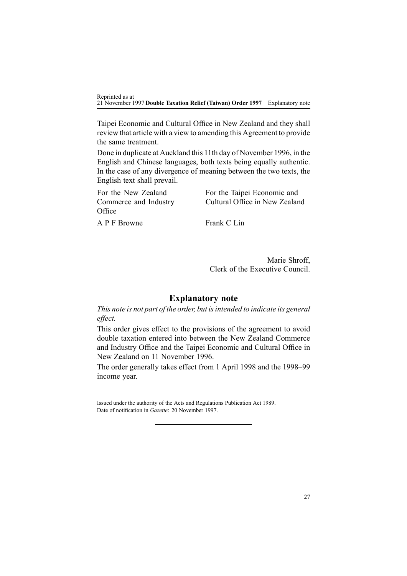Reprinted as at 21 November 1997 **Double Taxation Relief (Taiwan) Order 1997** Explanatory note

Taipei Economic and Cultural Office in New Zealand and they shall review that article with <sup>a</sup> view to amending this Agreement to provide the same treatment.

Done in duplicate at Auckland this 11th day of November 1996, in the English and Chinese languages, both texts being equally authentic. In the case of any divergence of meaning between the two texts, the English text shall prevail.

For the New Zealand Commerce and Industry **Office** For the Taipei Economic and Cultural Office in New Zealand A P F Browne Frank C Lin

> Marie Shroff, Clerk of the Executive Council.

### **Explanatory note**

*This note is not par<sup>t</sup> of the order, but isintended to indicate its general effect.*

This order gives effect to the provisions of the agreemen<sup>t</sup> to avoid double taxation entered into between the New Zealand Commerce and Industry Office and the Taipei Economic and Cultural Office in New Zealand on 11 November 1996.

The order generally takes effect from 1 April 1998 and the 1998–99 income year.

Issued under the authority of the Acts and [Regulations](http://www.legislation.govt.nz/pdflink.aspx?id=DLM195097) Publication Act 1989. Date of notification in *Gazette*: 20 November 1997.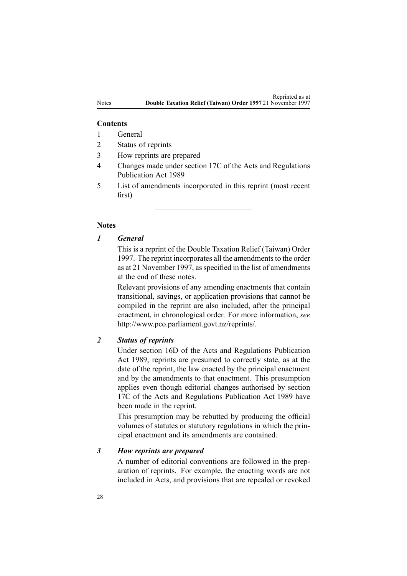#### **Contents**

- 1 General
- 2 Status of reprints
- 3 How reprints are prepared
- 4 Changes made under section 17C of the Acts and Regulations Publication Act 1989
- 5 List of amendments incorporated in this reprint (most recent first)

#### **Notes**

#### *1 General*

This is <sup>a</sup> reprint of the Double Taxation Relief (Taiwan) Order 1997. The reprint incorporates all the amendments to the order as at 21 November 1997, as specified in the list of amendments at the end of these notes.

Relevant provisions of any amending enactments that contain transitional, savings, or application provisions that cannot be compiled in the reprint are also included, after the principal enactment, in chronological order. For more information, *see* <http://www.pco.parliament.govt.nz/reprints/>.

### *2 Status of reprints*

Under [section](http://www.legislation.govt.nz/pdflink.aspx?id=DLM195439) 16D of the Acts and Regulations Publication Act 1989, reprints are presumed to correctly state, as at the date of the reprint, the law enacted by the principal enactment and by the amendments to that enactment. This presumption applies even though editorial changes authorised by [section](http://www.legislation.govt.nz/pdflink.aspx?id=DLM195466) [17C](http://www.legislation.govt.nz/pdflink.aspx?id=DLM195466) of the Acts and Regulations Publication Act 1989 have been made in the reprint.

This presumption may be rebutted by producing the official volumes of statutes or statutory regulations in which the principal enactment and its amendments are contained.

#### *3 How reprints are prepared*

A number of editorial conventions are followed in the preparation of reprints. For example, the enacting words are not included in Acts, and provisions that are repealed or revoked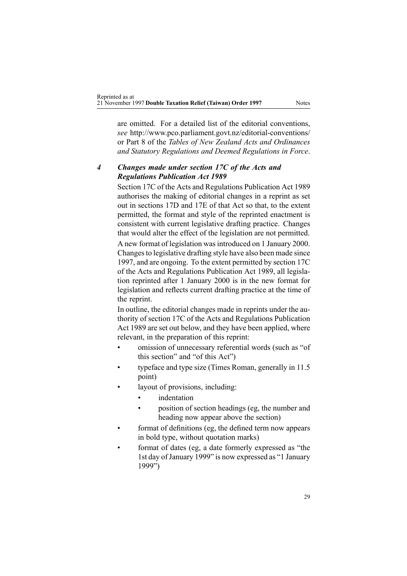are omitted. For <sup>a</sup> detailed list of the editorial conventions, *see* [http://www.pco.parliament.govt.nz/editorial-conventions/](http://www.pco.parliament.govt.nz/editorial-conventions/ ) or Part 8 of the *Tables of New Zealand Acts and Ordinances and Statutory Regulations and Deemed Regulations in Force*.

## *4 Changes made under section 17C of the Acts and Regulations Publication Act 1989*

[Section](http://www.legislation.govt.nz/pdflink.aspx?id=DLM195466) 17C of the Acts and Regulations Publication Act 1989 authorises the making of editorial changes in <sup>a</sup> reprint as set out in [sections](http://www.legislation.govt.nz/pdflink.aspx?id=DLM195468) 17D and [17E](http://www.legislation.govt.nz/pdflink.aspx?id=DLM195470) of that Act so that, to the extent permitted, the format and style of the reprinted enactment is consistent with current legislative drafting practice. Changes that would alter the effect of the legislation are not permitted.

A new format of legislation wasintroduced on 1 January 2000. Changesto legislative drafting style have also been made since 1997, and are ongoing. To the extent permitted by [section](http://www.legislation.govt.nz/pdflink.aspx?id=DLM195466) 17C of the Acts and Regulations Publication Act 1989, all legislation reprinted after 1 January 2000 is in the new format for legislation and reflects current drafting practice at the time of the reprint.

In outline, the editorial changes made in reprints under the authority of [section](http://www.legislation.govt.nz/pdflink.aspx?id=DLM195466) 17C of the Acts and Regulations Publication Act 1989 are set out below, and they have been applied, where relevant, in the preparation of this reprint:

- • omission of unnecessary referential words (such as "of this section" and "of this Act")
- • typeface and type size (Times Roman, generally in 11.5 point)
- • layout of provisions, including:
	- •indentation
	- • position of section headings (eg, the number and heading now appear above the section)
- • format of definitions (eg, the defined term now appears in bold type, without quotation marks)
- • format of dates (eg, <sup>a</sup> date formerly expressed as "the 1st day of January 1999" is now expressed as "1 January 1999")